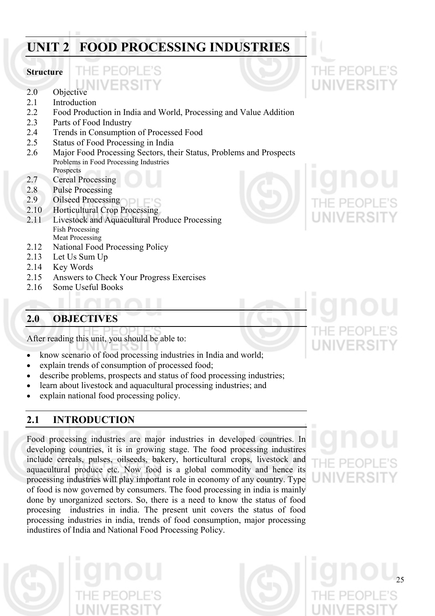# **UNIT 2 FOOD PROCESSING INDUSTRIES**

# **Structure**

2.0 Objective

THE PEOP

- 2.1 Introduction
- 2.2 Food Production in India and World, Processing and Value Addition
- 2.3 Parts of Food Industry
- 2.4 Trends in Consumption of Processed Food
- 2.5 Status of Food Processing in India
- 2.6 Major Food Processing Sectors, their Status, Problems and Prospects Problems in Food Processing Industries Prospects
- 2.7 Cereal Processing
- 2.8 Pulse Processing
- 2.9 Oilseed Processing
- 2.10 Horticultural Crop Processing
- 2.11 Livestock and Aquacultural Produce Processing Fish Processing Meat Processing
- 2.12 National Food Processing Policy
- 2.13 Let Us Sum Up
- 2.14 Key Words
- 2.15 Answers to Check Your Progress Exercises
- 2.16 Some Useful Books

# **2.0 OBJECTIVES**

After reading this unit, you should be able to:

- know scenario of food processing industries in India and world;
- explain trends of consumption of processed food;
- describe problems, prospects and status of food processing industries;
- learn about livestock and aquacultural processing industries; and
- explain national food processing policy.

# **2.1 INTRODUCTION**

Food processing industries are major industries in developed countries. In developing countries, it is in growing stage. The food processing industires include cereals, pulses, oilseeds, bakery, horticultural crops, livestock and aquacultural produce etc. Now food is a global commodity and hence its processing industries will play important role in economy of any country. Type of food is now governed by consumers. The food processing in india is mainly done by unorganized sectors. So, there is a need to know the status of food procesing industries in india. The present unit covers the status of food processing industries in india, trends of food consumption, major processing industires of India and National Food Processing Policy.









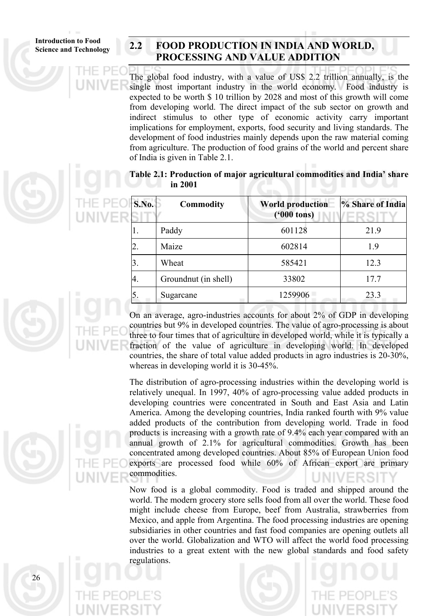# **Science and Technology 2.2 FOOD PRODUCTION IN INDIA AND WORLD, PROCESSING AND VALUE ADDITION**

The global food industry, with a value of US\$ 2.2 trillion annually, is the single most important industry in the world economy. Food industry is expected to be worth \$ 10 trillion by 2028 and most of this growth will come from developing world. The direct impact of the sub sector on growth and indirect stimulus to other type of economic activity carry important implications for employment, exports, food security and living standards. The development of food industries mainly depends upon the raw material coming from agriculture. The production of food grains of the world and percent share of India is given in Table 2.1.

**Table 2.1: Production of major agricultural commodities and India' share in 2001** 

| S.No. | <b>Commodity</b>     | <b>World production</b><br>$(900 \text{ tons})$ | % Share of India |
|-------|----------------------|-------------------------------------------------|------------------|
| 1.    | Paddy                | 601128                                          | 21.9             |
| 2.    | Maize                | 602814                                          | 1.9              |
| 3.    | Wheat                | 585421                                          | 12.3             |
| 4.    | Groundnut (in shell) | 33802                                           | 17.7             |
| 5.    | Sugarcane            | 1259906                                         | 23.3             |

On an average, agro-industries accounts for about 2% of GDP in developing countries but 9% in developed countries. The value of agro-processing is about three to four times that of agriculture in developed world, while it is typically a fraction of the value of agriculture in developing world. In developed countries, the share of total value added products in agro industries is 20-30%, whereas in developing world it is 30-45%.

The distribution of agro-processing industries within the developing world is relatively unequal. In 1997, 40% of agro-processing value added products in developing countries were concentrated in South and East Asia and Latin America. Among the developing countries, India ranked fourth with 9% value added products of the contribution from developing world. Trade in food products is increasing with a growth rate of 9.4% each year compared with an annual growth of 2.1% for agricultural commodities. Growth has been concentrated among developed countries. About 85% of European Union food exports are processed food while 60% of African export are primary commodities.

Now food is a global commodity. Food is traded and shipped around the world. The modern grocery store sells food from all over the world. These food might include cheese from Europe, beef from Australia, strawberries from Mexico, and apple from Argentina. The food processing industries are opening subsidiaries in other countries and fast food companies are opening outlets all over the world. Globalization and WTO will affect the world food processing industries to a great extent with the new global standards and food safety regulations.

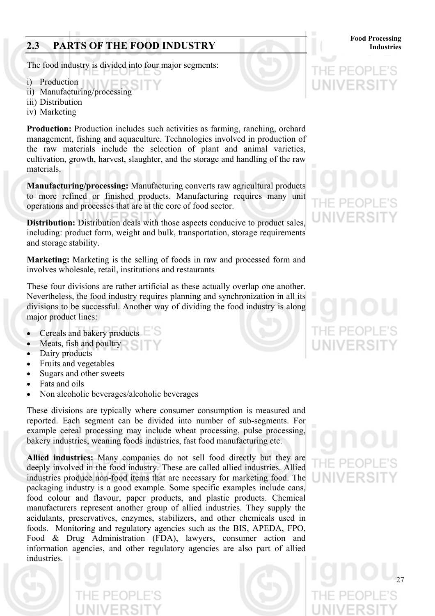# **2.3 PARTS OF THE FOOD INDUSTRY Industries**

The food industry is divided into four major segments:

i) Production

- ii) Manufacturing/processing
- iii) Distribution
- iv) Marketing

**Production:** Production includes such activities as farming, ranching, orchard management, fishing and aquaculture. Technologies involved in production of the raw materials include the selection of plant and animal varieties, cultivation, growth, harvest, slaughter, and the storage and handling of the raw materials.

**Manufacturing/processing:** Manufacturing converts raw agricultural products to more refined or finished products. Manufacturing requires many unit operations and processes that are at the core of food sector.

**Distribution:** Distribution deals with those aspects conducive to product sales, including: product form, weight and bulk, transportation, storage requirements and storage stability.

**Marketing:** Marketing is the selling of foods in raw and processed form and involves wholesale, retail, institutions and restaurants

These four divisions are rather artificial as these actually overlap one another. Nevertheless, the food industry requires planning and synchronization in all its divisions to be successful. Another way of dividing the food industry is along major product lines:

- Cereals and bakery products
- Meats, fish and poultry
- Dairy products
- Fruits and vegetables
- Sugars and other sweets
- Fats and oils
- Non alcoholic beverages/alcoholic beverages

These divisions are typically where consumer consumption is measured and reported. Each segment can be divided into number of sub-segments. For example cereal processing may include wheat processing, pulse processing, bakery industries, weaning foods industries, fast food manufacturing etc.

**Allied industries:** Many companies do not sell food directly but they are deeply involved in the food industry. These are called allied industries. Allied industries produce non-food items that are necessary for marketing food. The packaging industry is a good example. Some specific examples include cans, food colour and flavour, paper products, and plastic products. Chemical manufacturers represent another group of allied industries. They supply the acidulants, preservatives, enzymes, stabilizers, and other chemicals used in foods. Monitoring and regulatory agencies such as the BIS, APEDA, FPO, Food & Drug Administration (FDA), lawyers, consumer action and information agencies, and other regulatory agencies are also part of allied industries.

# JIVERS

**Food Processing**



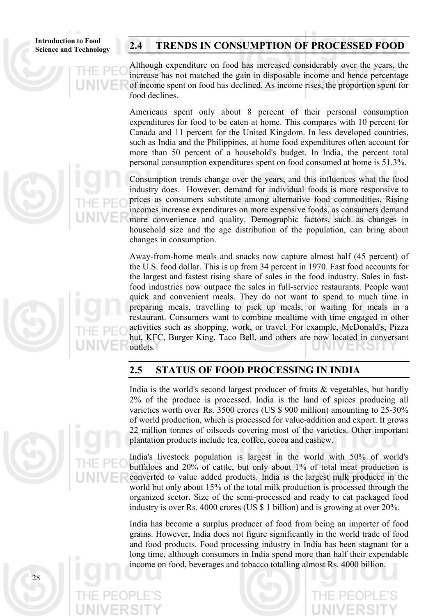# **Science and Technology 2.4 TRENDS IN CONSUMPTION OF PROCESSED FOOD**

Although expenditure on food has increased considerably over the years, the increase has not matched the gain in disposable income and hence percentage of income spent on food has declined. As income rises, the proportion spent for food declines.

Americans spent only about 8 percent of their personal consumption expenditures for food to be eaten at home. This compares with 10 percent for Canada and 11 percent for the United Kingdom. In less developed countries, such as India and the Philippines, at home food expenditures often account for more than 50 percent of a household's budget. In India, the percent total personal consumption expenditures spent on food consumed at home is 51.3%.

Consumption trends change over the years, and this influences what the food industry does. However, demand for individual foods is more responsive to prices as consumers substitute among alternative food commodities. Rising incomes increase expenditures on more expensive foods, as consumers demand more convenience and quality. Demographic factors, such as changes in household size and the age distribution of the population, can bring about changes in consumption.

Away-from-home meals and snacks now capture almost half (45 percent) of the U.S. food dollar. This is up from 34 percent in 1970. Fast food accounts for the largest and fastest rising share of sales in the food industry. Sales in fastfood industries now outpace the sales in full-service restaurants. People want quick and convenient meals. They do not want to spend to much time in preparing meals, travelling to pick up meals, or waiting for meals in a restaurant. Consumers want to combine mealtime with time engaged in other activities such as shopping, work, or travel. For example, McDonald's, Pizza hut, KFC, Burger King, Taco Bell, and others are now located in conversant outlets.

# **2.5 STATUS OF FOOD PROCESSING IN INDIA**

India is the world's second largest producer of fruits & vegetables, but hardly 2% of the produce is processed. India is the land of spices producing all varieties worth over Rs. 3500 crores (US \$ 900 million) amounting to 25-30% of world production, which is processed for value-addition and export. It grows 22 million tonnes of oilseeds covering most of the varieties. Other important plantation products include tea, coffee, cocoa and cashew.

India's livestock population is largest in the world with 50% of world's buffaloes and 20% of cattle, but only about 1% of total meat production is converted to value added products. India is the largest milk producer in the world but only about 15% of the total milk production is processed through the organized sector. Size of the semi-processed and ready to eat packaged food industry is over Rs. 4000 crores (US \$ 1 billion) and is growing at over 20%.

India has become a surplus producer of food from being an importer of food grains. However, India does not figure significantly in the world trade of food and food products. Food processing industry in India has been stagnant for a long time, although consumers in India spend more than half their expendable income on food, beverages and tobacco totalling almost Rs. 4000 billion.



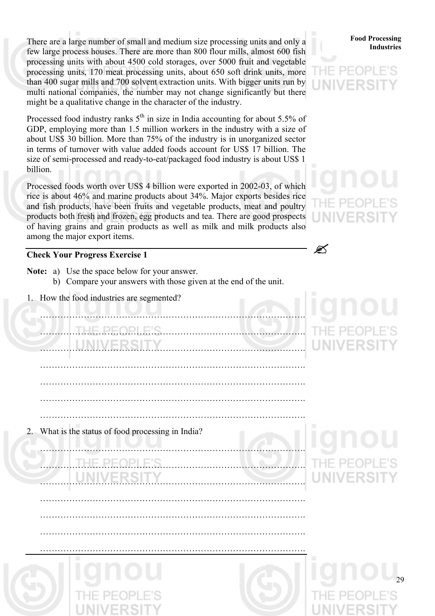There are a large number of small and medium size processing units and only a<br>**Industries** few large process houses. There are more than 800 flour mills, almost 600 fish processing units with about 4500 cold storages, over 5000 fruit and vegetable processing units, 170 meat processing units, about 650 soft drink units, more than 400 sugar mills and 700 solvent extraction units. With bigger units run by multi national companies, the number may not change significantly but there might be a qualitative change in the character of the industry.

Processed food industry ranks  $5<sup>th</sup>$  in size in India accounting for about 5.5% of GDP, employing more than 1.5 million workers in the industry with a size of about US\$ 30 billion. More than 75% of the industry is in unorganized sector in terms of turnover with value added foods account for US\$ 17 billion. The size of semi-processed and ready-to-eat/packaged food industry is about US\$ 1 billion.

Processed foods worth over US\$ 4 billion were exported in 2002-03, of which rice is about 46% and marine products about 34%. Major exports besides rice and fish products, have been fruits and vegetable products, meat and poultry products both fresh and frozen, egg products and tea. There are good prospects of having grains and grain products as well as milk and milk products also among the major export items.

# **Check Your Progress Exercise 1**

- **Note:** a) Use the space below for your answer.
	- b) Compare your answers with those given at the end of the unit.
- 1. How the food industries are segmented?

| .T.H.E.P.E.O.P.I.E.S.<br><br><b>NIVERSITY</b>      | THE PEOPLE<br><b>UNIVERSIT</b>           |
|----------------------------------------------------|------------------------------------------|
|                                                    |                                          |
| 2. What is the status of food processing in India? |                                          |
| <b>THE PEOPLE'S</b><br>UNIVERSITY                  | unou<br>THE PEOPLE'S<br><b>UNIVERSIT</b> |
|                                                    |                                          |
|                                                    |                                          |
|                                                    | unot<br>29                               |

**Food Processing**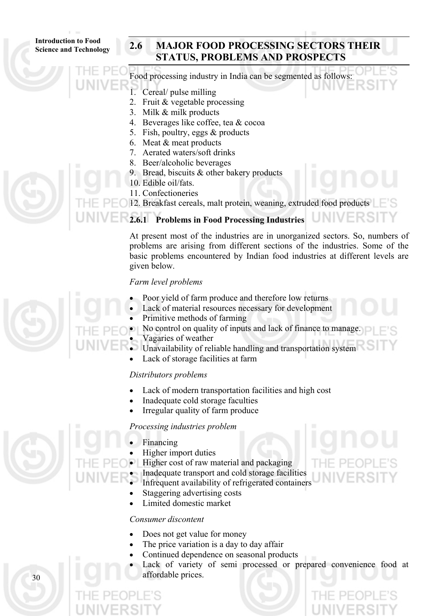# **Science and Technology 2.6 MAJOR FOOD PROCESSING SECTORS THEIR STATUS, PROBLEMS AND PROSPECTS**



- 2. Fruit & vegetable processing
- 3. Milk & milk products
- 4. Beverages like coffee, tea & cocoa
- 5. Fish, poultry, eggs & products
- 6. Meat & meat products
- 7. Aerated waters/soft drinks
- 8. Beer/alcoholic beverages
- 9. Bread, biscuits & other bakery products
- 10. Edible oil/fats.
- 11. Confectioneries

12. Breakfast cereals, malt protein, weaning, extruded food products

# **2.6.1 Problems in Food Processing Industries**

At present most of the industries are in unorganized sectors. So, numbers of problems are arising from different sections of the industries. Some of the basic problems encountered by Indian food industries at different levels are given below.

UNIVE

# *Farm level problems*

- Poor yield of farm produce and therefore low returns
	- Lack of material resources necessary for development
- Primitive methods of farming



- Unavailability of reliable handling and transportation system
- Lack of storage facilities at farm

# *Distributors problems*

- Lack of modern transportation facilities and high cost
- Inadequate cold storage faculties
- Irregular quality of farm produce

# *Processing industries problem*



30

- **Financing**
- Higher import duties
- Higher cost of raw material and packaging
- Inadequate transport and cold storage facilities
- Infrequent availability of refrigerated containers
- Staggering advertising costs
- Limited domestic market

# *Consumer discontent*

- Does not get value for money
- The price variation is a day to day affair
- Continued dependence on seasonal products
- Lack of variety of semi processed or prepared convenience food at affordable prices.

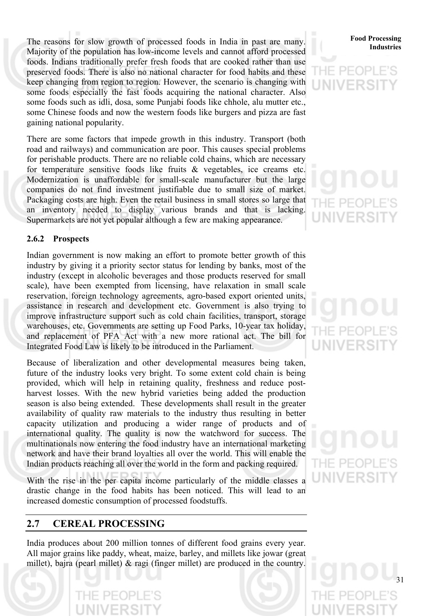The reasons for slow growth of processed foods in India in past are many.<br>Industries Majority of the population has low-income levels and cannot afford processed foods. Indians traditionally prefer fresh foods that are cooked rather than use preserved foods. There is also no national character for food habits and these keep changing from region to region. However, the scenario is changing with some foods especially the fast foods acquiring the national character. Also some foods such as idli, dosa, some Punjabi foods like chhole, alu mutter etc., some Chinese foods and now the western foods like burgers and pizza are fast gaining national popularity.

There are some factors that impede growth in this industry. Transport (both road and railways) and communication are poor. This causes special problems for perishable products. There are no reliable cold chains, which are necessary for temperature sensitive foods like fruits & vegetables, ice creams etc. Modernization is unaffordable for small-scale manufacturer but the large companies do not find investment justifiable due to small size of market. Packaging costs are high. Even the retail business in small stores so large that an inventory needed to display various brands and that is lacking. Supermarkets are not yet popular although a few are making appearance.

# **2.6.2 Prospects**

Indian government is now making an effort to promote better growth of this industry by giving it a priority sector status for lending by banks, most of the industry (except in alcoholic beverages and those products reserved for small scale), have been exempted from licensing, have relaxation in small scale reservation, foreign technology agreements, agro-based export oriented units, assistance in research and development etc. Government is also trying to improve infrastructure support such as cold chain facilities, transport, storage warehouses, etc. Governments are setting up Food Parks, 10-year tax holiday, and replacement of PFA Act with a new more rational act. The bill for Integrated Food Law is likely to be introduced in the Parliament.

Because of liberalization and other developmental measures being taken, future of the industry looks very bright. To some extent cold chain is being provided, which will help in retaining quality, freshness and reduce postharvest losses. With the new hybrid varieties being added the production season is also being extended. These developments shall result in the greater availability of quality raw materials to the industry thus resulting in better capacity utilization and producing a wider range of products and of international quality. The quality is now the watchword for success. The multinationals now entering the food industry have an international marketing network and have their brand loyalties all over the world. This will enable the Indian products reaching all over the world in the form and packing required.

With the rise in the per capita income particularly of the middle classes a drastic change in the food habits has been noticed. This will lead to an increased domestic consumption of processed foodstuffs.

# **2.7 CEREAL PROCESSING**

India produces about 200 million tonnes of different food grains every year. All major grains like paddy, wheat, maize, barley, and millets like jowar (great millet), bajra (pearl millet) & ragi (finger millet) are produced in the country.

# **Food Processing**

# $P-A$

THE PEOI UNIVERS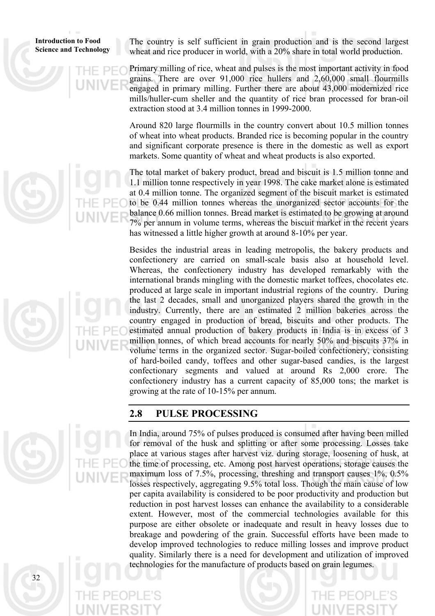**Introduction to Food Science and Technology**  The country is self sufficient in grain production and is the second largest wheat and rice producer in world, with a 20% share in total world production.

Primary milling of rice, wheat and pulses is the most important activity in food grains. There are over 91,000 rice hullers and 2,60,000 small flourmills engaged in primary milling. Further there are about 43,000 modernized rice mills/huller-cum sheller and the quantity of rice bran processed for bran-oil extraction stood at 3.4 million tonnes in 1999-2000.

Around 820 large flourmills in the country convert about 10.5 million tonnes of wheat into wheat products. Branded rice is becoming popular in the country and significant corporate presence is there in the domestic as well as export markets. Some quantity of wheat and wheat products is also exported.

The total market of bakery product, bread and biscuit is 1.5 million tonne and 1.1 million tonne respectively in year 1998. The cake market alone is estimated at 0.4 million tonne. The organized segment of the biscuit market is estimated to be 0.44 million tonnes whereas the unorganized sector accounts for the balance 0.66 million tonnes. Bread market is estimated to be growing at around 7% per annum in volume terms, whereas the biscuit market in the recent years has witnessed a little higher growth at around 8-10% per year.

Besides the industrial areas in leading metropolis, the bakery products and confectionery are carried on small-scale basis also at household level. Whereas, the confectionery industry has developed remarkably with the international brands mingling with the domestic market toffees, chocolates etc. produced at large scale in important industrial regions of the country. During the last 2 decades, small and unorganized players shared the growth in the industry. Currently, there are an estimated 2 million bakeries across the country engaged in production of bread, biscuits and other products. The estimated annual production of bakery products in India is in excess of 3 million tonnes, of which bread accounts for nearly 50% and biscuits 37% in volume terms in the organized sector. Sugar-boiled confectionery, consisting of hard-boiled candy, toffees and other sugar-based candies, is the largest confectionary segments and valued at around Rs 2,000 crore. The confectionery industry has a current capacity of 85,000 tons; the market is growing at the rate of 10-15% per annum.

# **2.8 PULSE PROCESSING**

In India, around 75% of pulses produced is consumed after having been milled for removal of the husk and splitting or after some processing. Losses take place at various stages after harvest viz. during storage, loosening of husk, at the time of processing, etc. Among post harvest operations, storage causes the maximum loss of 7.5%, processing, threshing and transport causes 1%, 0.5% losses respectively, aggregating 9.5% total loss. Though the main cause of low per capita availability is considered to be poor productivity and production but reduction in post harvest losses can enhance the availability to a considerable extent. However, most of the commercial technologies available for this purpose are either obsolete or inadequate and result in heavy losses due to breakage and powdering of the grain. Successful efforts have been made to develop improved technologies to reduce milling losses and improve product quality. Similarly there is a need for development and utilization of improved technologies for the manufacture of products based on grain legumes.

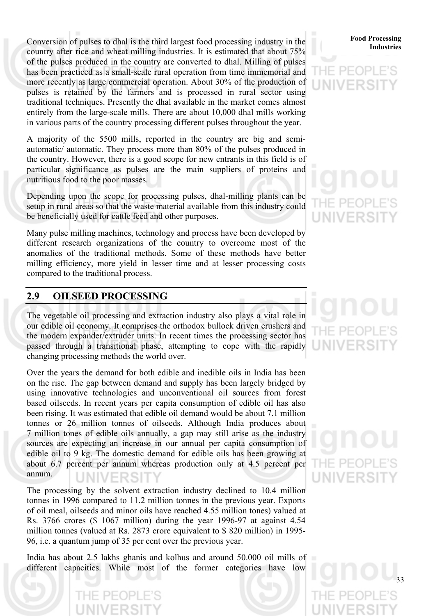**Industries** Conversion of pulses to dhal is the third largest food processing industry in the **Food Processing** country after rice and wheat milling industries. It is estimated that about 75% of the pulses produced in the country are converted to dhal. Milling of pulses has been practiced as a small-scale rural operation from time immemorial and more recently as large commercial operation. About 30% of the production of pulses is retained by the farmers and is processed in rural sector using traditional techniques. Presently the dhal available in the market comes almost entirely from the large-scale mills. There are about 10,000 dhal mills working in various parts of the country processing different pulses throughout the year.

A majority of the 5500 mills, reported in the country are big and semiautomatic/ automatic. They process more than 80% of the pulses produced in the country. However, there is a good scope for new entrants in this field is of particular significance as pulses are the main suppliers of proteins and nutritious food to the poor masses.

Depending upon the scope for processing pulses, dhal-milling plants can be setup in rural areas so that the waste material available from this industry could be beneficially used for cattle feed and other purposes.

Many pulse milling machines, technology and process have been developed by different research organizations of the country to overcome most of the anomalies of the traditional methods. Some of these methods have better milling efficiency, more yield in lesser time and at lesser processing costs compared to the traditional process.

# **2.9 OILSEED PROCESSING**

The vegetable oil processing and extraction industry also plays a vital role in our edible oil economy. It comprises the orthodox bullock driven crushers and the modern expander/extruder units. In recent times the processing sector has passed through a transitional phase, attempting to cope with the rapidly changing processing methods the world over.

Over the years the demand for both edible and inedible oils in India has been on the rise. The gap between demand and supply has been largely bridged by using innovative technologies and unconventional oil sources from forest based oilseeds. In recent years per capita consumption of edible oil has also been rising. It was estimated that edible oil demand would be about 7.1 million tonnes or 26 million tonnes of oilseeds. Although India produces about 7 million tones of edible oils annually, a gap may still arise as the industry sources are expecting an increase in our annual per capita consumption of edible oil to 9 kg. The domestic demand for edible oils has been growing at about 6.7 percent per annum whereas production only at 4.5 percent per annum.

The processing by the solvent extraction industry declined to 10.4 million tonnes in 1996 compared to 11.2 million tonnes in the previous year. Exports of oil meal, oilseeds and minor oils have reached 4.55 million tones) valued at Rs. 3766 crores (\$ 1067 million) during the year 1996-97 at against 4.54 million tonnes (valued at Rs. 2873 crore equivalent to \$ 820 million) in 1995- 96, i.e. a quantum jump of 35 per cent over the previous year.

India has about 2.5 lakhs ghanis and kolhus and around 50.000 oil mills of different capacities. While most of the former categories have low

# **Food Processing**

# F PF UNIVERS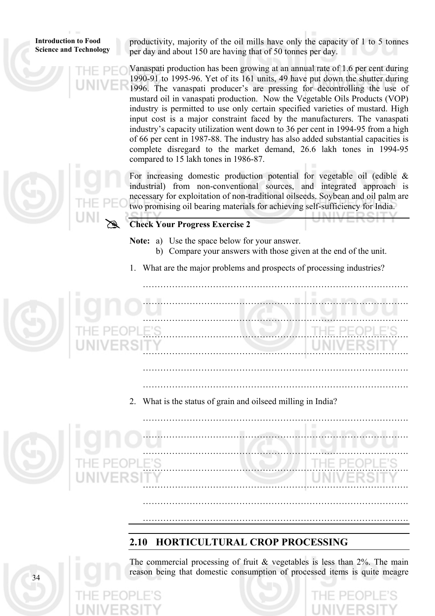**Introduction to Food Science and Technology** 

productivity, majority of the oil mills have only the capacity of 1 to 5 tonnes per day and about 150 are having that of 50 tonnes per day.

Vanaspati production has been growing at an annual rate of 1.6 per cent during 1990-91 to 1995-96. Yet of its 161 units, 49 have put down the shutter during 1996. The vanaspati producer's are pressing for decontrolling the use of mustard oil in vanaspati production. Now the Vegetable Oils Products (VOP) industry is permitted to use only certain specified varieties of mustard. High input cost is a major constraint faced by the manufacturers. The vanaspati industry's capacity utilization went down to 36 per cent in 1994-95 from a high of 66 per cent in 1987-88. The industry has also added substantial capacities is complete disregard to the market demand, 26.6 lakh tones in 1994-95 compared to 15 lakh tones in 1986-87.

For increasing domestic production potential for vegetable oil (edible  $\&$ industrial) from non-conventional sources, and integrated approach is necessary for exploitation of non-traditional oilseeds. Soybean and oil palm are two promising oil bearing materials for achieving self-sufficiency for India.

# **Check Your Progress Exercise 2** 

**Note:** a) Use the space below for your answer.

- b) Compare your answers with those given at the end of the unit.
- 1. What are the major problems and prospects of processing industries?

 ………………………………………………………………………………. ………………………………………………………………………………. ………………………………………………………………………………. ………………………………………………………………………………. ………………………………………………………………………………. ……………………………………………………………………………….

……………………………………………………………………………….





……………………………………………………………………………….

……………………………………………………………………………….

# **2.10 HORTICULTURAL CROP PROCESSING**

The commercial processing of fruit  $&$  vegetables is less than 2%. The main reason being that domestic consumption of processed items is quite meagre



 $3<sub>4</sub>$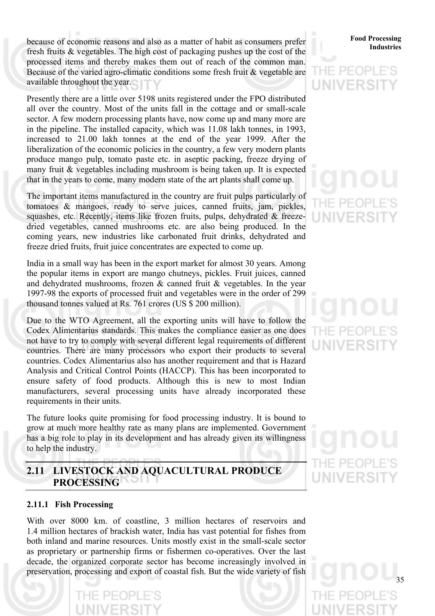**Industries** because of economic reasons and also as a matter of habit as consumers prefer<br>Industries fresh fruits & vegetables. The high cost of packaging pushes up the cost of the processed items and thereby makes them out of reach of the common man. Because of the varied agro-climatic conditions some fresh fruit & vegetable are available throughout the year.

Presently there are a little over 5198 units registered under the FPO distributed all over the country. Most of the units fall in the cottage and or small-scale sector. A few modern processing plants have, now come up and many more are in the pipeline. The installed capacity, which was 11.08 lakh tonnes, in 1993, increased to 21.00 lakh tonnes at the end of the year 1999. After the liberalization of the economic policies in the country, a few very modern plants produce mango pulp, tomato paste etc. in aseptic packing, freeze drying of many fruit & vegetables including mushroom is being taken up. It is expected that in the years to come, many modern state of the art plants shall come up.

The important items manufactured in the country are fruit pulps particularly of tomatoes & mangoes, ready to serve juices, canned fruits, jam, pickles, squashes, etc. Recently, items like frozen fruits, pulps, dehydrated & freezedried vegetables, canned mushrooms etc. are also being produced. In the coming years, new industries like carbonated fruit drinks, dehydrated and freeze dried fruits, fruit juice concentrates are expected to come up.

India in a small way has been in the export market for almost 30 years. Among the popular items in export are mango chutneys, pickles. Fruit juices, canned and dehydrated mushrooms, frozen & canned fruit & vegetables. In the year 1997-98 the exports of processed fruit and vegetables were in the order of 299 thousand tonnes valued at Rs. 761 crores (US \$ 200 million).

Due to the WTO Agreement, all the exporting units will have to follow the Codex Alimentarius standards. This makes the compliance easier as one does not have to try to comply with several different legal requirements of different countries. There are many processors who export their products to several countries. Codex Alimentarius also has another requirement and that is Hazard Analysis and Critical Control Points (HACCP). This has been incorporated to ensure safety of food products. Although this is new to most Indian manufacturers, several processing units have already incorporated these requirements in their units.

The future looks quite promising for food processing industry. It is bound to grow at much more healthy rate as many plans are implemented. Government has a big role to play in its development and has already given its willingness to help the industry.

## **2.11 LIVESTOCK AND AQUACULTURAL PRODUCE**  LIG7 **PROCESSING**

## **2.11.1 Fish Processing**

With over 8000 km. of coastline, 3 million hectares of reservoirs and 1.4 million hectares of brackish water, India has vast potential for fishes from both inland and marine resources. Units mostly exist in the small-scale sector as proprietary or partnership firms or fishermen co-operatives. Over the last decade, the organized corporate sector has become increasingly involved in preservation, processing and export of coastal fish. But the wide variety of fish

# **Food Processing**

# UNIVERS

# E PF(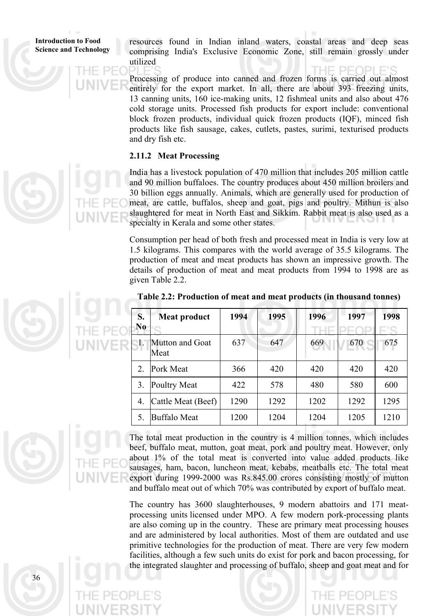**Introduction to Food Science and Technology**  resources found in Indian inland waters, coastal areas and deep seas comprising India's Exclusive Economic Zone, still remain grossly under utilized

Processing of produce into canned and frozen forms is carried out almost entirely for the export market. In all, there are about 393 freezing units, 13 canning units, 160 ice-making units, 12 fishmeal units and also about 476 cold storage units. Processed fish products for export include: conventional block frozen products, individual quick frozen products (IQF), minced fish products like fish sausage, cakes, cutlets, pastes, surimi, texturised products and dry fish etc.

# **2.11.2 Meat Processing**

India has a livestock population of 470 million that includes 205 million cattle and 90 million buffaloes. The country produces about 450 million broilers and 30 billion eggs annually. Animals, which are generally used for production of meat, are cattle, buffalos, sheep and goat, pigs and poultry. Mithun is also slaughtered for meat in North East and Sikkim. Rabbit meat is also used as a specialty in Kerala and some other states.

Consumption per head of both fresh and processed meat in India is very low at 1.5 kilograms. This compares with the world average of 35.5 kilograms. The production of meat and meat products has shown an impressive growth. The details of production of meat and meat products from 1994 to 1998 are as given Table 2.2.

| S.<br>N <sub>0</sub> | Meat product            | 1994 | 1995 | 1996 | 1997 | 1998 |
|----------------------|-------------------------|------|------|------|------|------|
| $\cdot$ 1.           | Mutton and Goat<br>Meat | 637  | 647  | 669  | 670  | 675  |
| 2.                   | Pork Meat               | 366  | 420  | 420  | 420  | 420  |
| 3.                   | Poultry Meat            | 422  | 578  | 480  | 580  | 600  |
| 4.                   | Cattle Meat (Beef)      | 1290 | 1292 | 1202 | 1292 | 1295 |
| 5.                   | <b>Buffalo Meat</b>     | 1200 | 1204 | 1204 | 1205 | 1210 |

**Table 2.2: Production of meat and meat products (in thousand tonnes)**



The total meat production in the country is 4 million tonnes, which includes beef, buffalo meat, mutton, goat meat, pork and poultry meat. However, only about 1% of the total meat is converted into value added products like sausages, ham, bacon, luncheon meat, kebabs, meatballs etc. The total meat export during 1999-2000 was Rs.845.00 crores consisting mostly of mutton and buffalo meat out of which 70% was contributed by export of buffalo meat.

The country has 3600 slaughterhouses, 9 modern abattoirs and 171 meatprocessing units licensed under MPO. A few modern pork-processing plants are also coming up in the country. These are primary meat processing houses and are administered by local authorities. Most of them are outdated and use primitive technologies for the production of meat. There are very few modern facilities, although a few such units do exist for pork and bacon processing, for the integrated slaughter and processing of buffalo, sheep and goat meat and for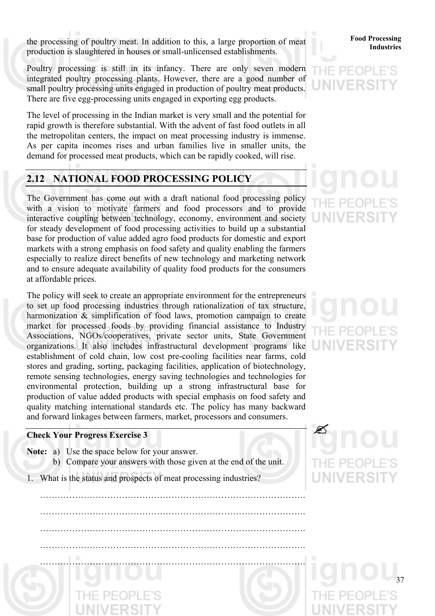**Industries** the processing of poultry meat. In addition to this, a large proportion of meat<br>Industries production is slaughtered in houses or small-unlicensed establishments.

Poultry processing is still in its infancy. There are only seven modern integrated poultry processing plants. However, there are a good number of small poultry processing units engaged in production of poultry meat products. There are five egg-processing units engaged in exporting egg products.

The level of processing in the Indian market is very small and the potential for rapid growth is therefore substantial. With the advent of fast food outlets in all the metropolitan centers, the impact on meat processing industry is immense. As per capita incomes rises and urban families live in smaller units, the demand for processed meat products, which can be rapidly cooked, will rise.

# **2.12 NATIONAL FOOD PROCESSING POLICY**

The Government has come out with a draft national food processing policy with a vision to motivate farmers and food processors and to provide interactive coupling between technology, economy, environment and society for steady development of food processing activities to build up a substantial base for production of value added agro food products for domestic and export markets with a strong emphasis on food safety and quality enabling the farmers especially to realize direct benefits of new technology and marketing network and to ensure adequate availability of quality food products for the consumers at affordable prices.

The policy will seek to create an appropriate environment for the entrepreneurs to set up food processing industries through rationalization of tax structure, harmonization  $\&$  simplification of food laws, promotion campaign to create market for processed foods by providing financial assistance to Industry Associations, NGOs/cooperatives, private sector units, State Government organizations. It also includes infrastructural development programs like establishment of cold chain, low cost pre-cooling facilities near farms, cold stores and grading, sorting, packaging facilities, application of biotechnology, remote sensing technologies, energy saving technologies and technologies for environmental protection, building up a strong infrastructural base for production of value added products with special emphasis on food safety and quality matching international standards etc. The policy has many backward and forward linkages between farmers, market, processors and consumers.

# **Check Your Progress Exercise 3** "

- **Note:** a) Use the space below for your answer. b) Compare your answers with those given at the end of the unit.
- 1. What is the status and prospects of meat processing industries?

……………………………………………………………………………….

……………………………………………………………………………….

……………………………………………………………………………….

**Food Processing**

37

 ………………………………………………………………………………. ……………………………………………………………………………….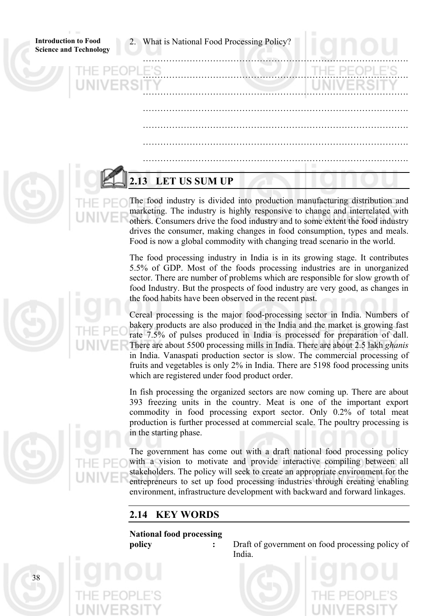2. What is National Food Processing Policy?

**Introduction to Food Science and Technology** 

| <b>HE PEOPLE'S</b> |  | THE PEOPLE'S |  |
|--------------------|--|--------------|--|
| <b>NIVERSITY</b>   |  | UNIVERSITY   |  |
|                    |  |              |  |
|                    |  |              |  |
|                    |  |              |  |
|                    |  |              |  |
|                    |  |              |  |

# **2.13 LET US SUM UP**

The food industry is divided into production manufacturing distribution and marketing. The industry is highly responsive to change and interrelated with others. Consumers drive the food industry and to some extent the food industry drives the consumer, making changes in food consumption, types and meals. Food is now a global commodity with changing tread scenario in the world.

The food processing industry in India is in its growing stage. It contributes 5.5% of GDP. Most of the foods processing industries are in unorganized sector. There are number of problems which are responsible for slow growth of food Industry. But the prospects of food industry are very good, as changes in the food habits have been observed in the recent past.

Cereal processing is the major food-processing sector in India. Numbers of bakery products are also produced in the India and the market is growing fast rate 7.5% of pulses produced in India is processed for preparation of dall. There are about 5500 processing mills in India. There are about 2.5 lakh *ghanis* in India. Vanaspati production sector is slow. The commercial processing of fruits and vegetables is only 2% in India. There are 5198 food processing units which are registered under food product order.

In fish processing the organized sectors are now coming up. There are about 393 freezing units in the country. Meat is one of the important export commodity in food processing export sector. Only 0.2% of total meat production is further processed at commercial scale. The poultry processing is in the starting phase.

The government has come out with a draft national food processing policy with a vision to motivate and provide interactive compiling between all stakeholders. The policy will seek to create an appropriate environment for the entrepreneurs to set up food processing industries through creating enabling environment, infrastructure development with backward and forward linkages.

# **2.14 KEY WORDS**

# **National food processing**

**policy** : Draft of government on food processing policy of India.



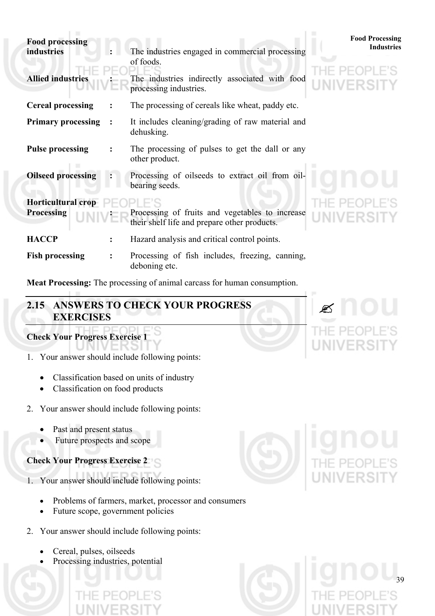| <b>Food processing</b><br>industries           |                | The industries engaged in commercial processing                                                 | <b>Food Processing</b><br><b>Industries</b> |  |
|------------------------------------------------|----------------|-------------------------------------------------------------------------------------------------|---------------------------------------------|--|
| <b>Allied industries</b>                       |                | of foods.<br>The industries indirectly associated with food<br>processing industries.           | UNIVERSITY                                  |  |
| <b>Cereal processing</b>                       |                | The processing of cereals like wheat, paddy etc.                                                |                                             |  |
| <b>Primary processing</b>                      | $\ddot{\cdot}$ | It includes cleaning/grading of raw material and<br>dehusking.                                  |                                             |  |
| <b>Pulse processing</b>                        |                | The processing of pulses to get the dall or any<br>other product.                               |                                             |  |
| <b>Oilseed processing</b>                      |                | Processing of oilseeds to extract oil from oil-<br>bearing seeds.                               |                                             |  |
| <b>Horticultural crop</b><br><b>Processing</b> |                | Processing of fruits and vegetables to increase<br>their shelf life and prepare other products. | <b>UNIVERSITY</b>                           |  |
| <b>HACCP</b>                                   | $\ddot{\cdot}$ | Hazard analysis and critical control points.                                                    |                                             |  |
| <b>Fish processing</b>                         |                | Processing of fish includes, freezing, canning,<br>deboning etc.                                |                                             |  |

**Meat Processing:** The processing of animal carcass for human consumption.

# **2.15 ANSWERS TO CHECK YOUR PROGRESS EXERCI SES**

# **Check Your Progress Exercise 1**

- 1. Your answer should include following points:
	- Classification based on units of industry
	- Classification on food products
- 2. Your answer should include following points:
	- Past and present status
	- Future prospects and scope
- **Check Your Progress Exercise 2**
- 1. Your answer should include following points:
	- Problems of farmers, market, processor and consumers
	- Future scope, government policies
- 2. Your answer should include following points:
	- Cereal, pulses, oilseeds
	- Processing industries, potential